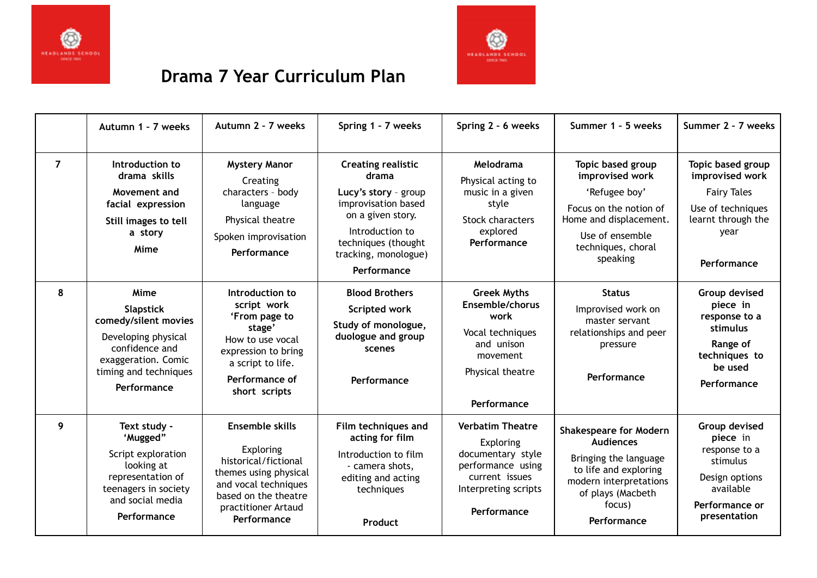



## **Drama 7 Year Curriculum Plan**

|                | Autumn 1 - 7 weeks                                                                                                                                       | Autumn 2 - 7 weeks                                                                                                                                                  | Spring 1 - 7 weeks                                                                                                                                                                      | Spring 2 - 6 weeks                                                                                                                      | Summer 1 - 5 weeks                                                                                                                                                          | Summer 2 - 7 weeks                                                                                                           |
|----------------|----------------------------------------------------------------------------------------------------------------------------------------------------------|---------------------------------------------------------------------------------------------------------------------------------------------------------------------|-----------------------------------------------------------------------------------------------------------------------------------------------------------------------------------------|-----------------------------------------------------------------------------------------------------------------------------------------|-----------------------------------------------------------------------------------------------------------------------------------------------------------------------------|------------------------------------------------------------------------------------------------------------------------------|
| $\overline{7}$ | Introduction to<br>drama skills<br>Movement and<br>facial expression<br>Still images to tell<br>a story<br>Mime                                          | <b>Mystery Manor</b><br>Creating<br>characters - body<br>language<br>Physical theatre<br>Spoken improvisation<br>Performance                                        | <b>Creating realistic</b><br>drama<br>Lucy's story - group<br>improvisation based<br>on a given story.<br>Introduction to<br>techniques (thought<br>tracking, monologue)<br>Performance | Melodrama<br>Physical acting to<br>music in a given<br>style<br><b>Stock characters</b><br>explored<br>Performance                      | Topic based group<br>improvised work<br>'Refugee boy'<br>Focus on the notion of<br>Home and displacement.<br>Use of ensemble<br>techniques, choral<br>speaking              | Topic based group<br>improvised work<br><b>Fairy Tales</b><br>Use of techniques<br>learnt through the<br>year<br>Performance |
| 8              | Mime<br><b>Slapstick</b><br>comedy/silent movies<br>Developing physical<br>confidence and<br>exaggeration. Comic<br>timing and techniques<br>Performance | Introduction to<br>script work<br>'From page to<br>stage'<br>How to use vocal<br>expression to bring<br>a script to life.<br>Performance of<br>short scripts        | <b>Blood Brothers</b><br><b>Scripted work</b><br>Study of monologue,<br>duologue and group<br>scenes<br>Performance                                                                     | <b>Greek Myths</b><br>Ensemble/chorus<br>work<br>Vocal techniques<br>and unison<br>movement<br>Physical theatre<br>Performance          | <b>Status</b><br>Improvised work on<br>master servant<br>relationships and peer<br>pressure<br>Performance                                                                  | Group devised<br>piece in<br>response to a<br>stimulus<br>Range of<br>techniques to<br>be used<br>Performance                |
| 9              | Text study -<br>'Mugged"<br>Script exploration<br>looking at<br>representation of<br>teenagers in society<br>and social media<br>Performance             | Ensemble skills<br>Exploring<br>historical/fictional<br>themes using physical<br>and vocal techniques<br>based on the theatre<br>practitioner Artaud<br>Performance | Film techniques and<br>acting for film<br>Introduction to film<br>- camera shots,<br>editing and acting<br>techniques<br>Product                                                        | <b>Verbatim Theatre</b><br>Exploring<br>documentary style<br>performance using<br>current issues<br>Interpreting scripts<br>Performance | <b>Shakespeare for Modern</b><br><b>Audiences</b><br>Bringing the language<br>to life and exploring<br>modern interpretations<br>of plays (Macbeth<br>focus)<br>Performance | Group devised<br>piece in<br>response to a<br>stimulus<br>Design options<br>available<br>Performance or<br>presentation      |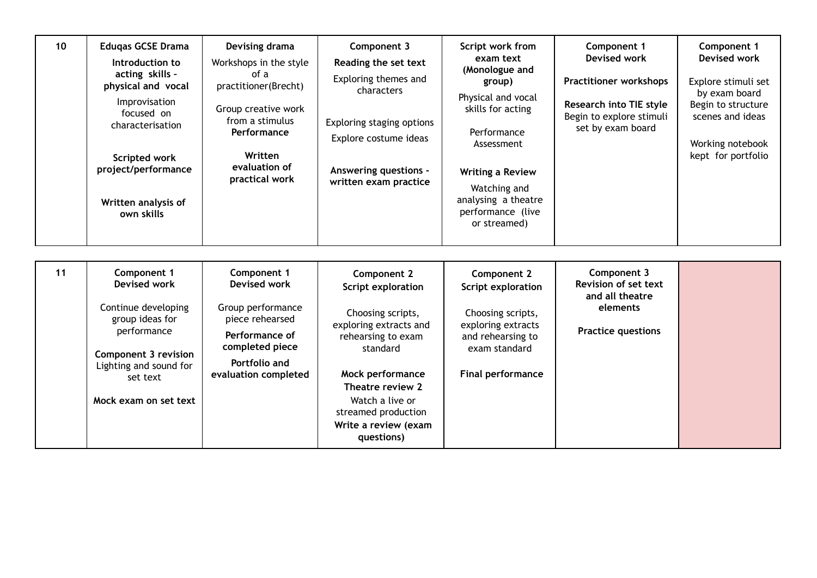| 10 | <b>Eduqas GCSE Drama</b><br>Introduction to<br>acting skills -<br>physical and vocal<br>Improvisation<br>focused on<br>characterisation<br><b>Scripted work</b><br>project/performance<br>Written analysis of<br>own skills | Devising drama<br>Workshops in the style<br>of a<br>practitioner(Brecht)<br>Group creative work<br>from a stimulus<br><b>Performance</b><br>Written<br>evaluation of<br>practical work | Component 3<br>Reading the set text<br>Exploring themes and<br>characters<br>Exploring staging options<br>Explore costume ideas<br><b>Answering questions -</b><br>written exam practice                                                   | Script work from<br>exam text<br>(Monologue and<br>group)<br>Physical and vocal<br>skills for acting<br>Performance<br>Assessment<br><b>Writing a Review</b><br>Watching and<br>analysing a theatre<br>performance (live<br>or streamed) | Component 1<br>Devised work<br><b>Practitioner workshops</b><br><b>Research into TIE style</b><br>Begin to explore stimuli<br>set by exam board | Component 1<br>Devised work<br>Explore stimuli set<br>by exam board<br>Begin to structure<br>scenes and ideas<br>Working notebook<br>kept for portfolio |
|----|-----------------------------------------------------------------------------------------------------------------------------------------------------------------------------------------------------------------------------|----------------------------------------------------------------------------------------------------------------------------------------------------------------------------------------|--------------------------------------------------------------------------------------------------------------------------------------------------------------------------------------------------------------------------------------------|------------------------------------------------------------------------------------------------------------------------------------------------------------------------------------------------------------------------------------------|-------------------------------------------------------------------------------------------------------------------------------------------------|---------------------------------------------------------------------------------------------------------------------------------------------------------|
| 11 | Component 1<br><b>Devised work</b><br>Continue developing<br>group ideas for<br>performance<br><b>Component 3 revision</b><br>Lighting and sound for<br>set text<br>Mock exam on set text                                   | Component 1<br><b>Devised work</b><br>Group performance<br>piece rehearsed<br>Performance of<br>completed piece<br>Portfolio and<br>evaluation completed                               | Component 2<br>Script exploration<br>Choosing scripts,<br>exploring extracts and<br>rehearsing to exam<br>standard<br>Mock performance<br>Theatre review 2<br>Watch a live or<br>streamed production<br>Write a review (exam<br>questions) | Component 2<br>Script exploration<br>Choosing scripts,<br>exploring extracts<br>and rehearsing to<br>exam standard<br><b>Final performance</b>                                                                                           | Component 3<br>Revision of set text<br>and all theatre<br>elements<br><b>Practice questions</b>                                                 |                                                                                                                                                         |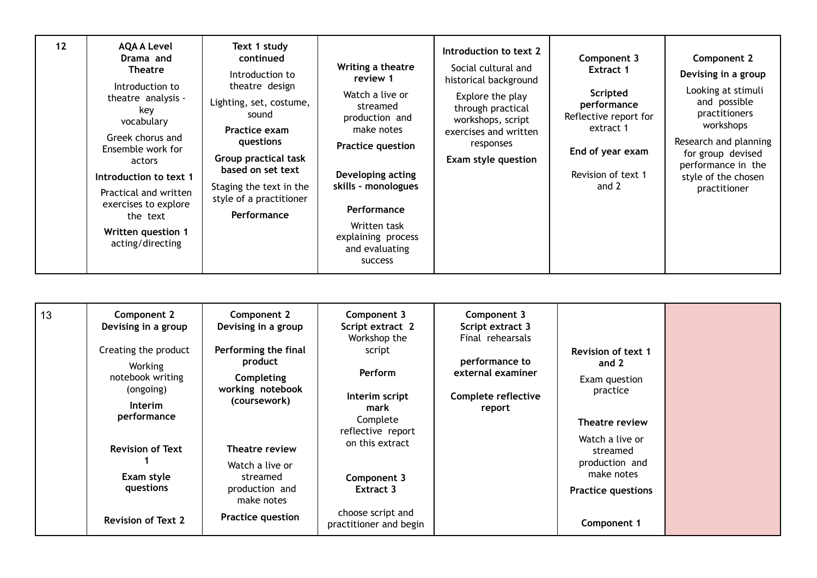| 12 | <b>AQA A Level</b><br>Drama and<br><b>Theatre</b><br>Introduction to<br>theatre analysis -<br>key<br>vocabulary<br>Greek chorus and<br>Ensemble work for<br>actors<br>Introduction to text 1<br>Practical and written<br>exercises to explore<br>the text<br>Written question 1<br>acting/directing | Text 1 study<br>continued<br>Introduction to<br>theatre design<br>Lighting, set, costume,<br>sound<br>Practice exam<br>questions<br><b>Group practical task</b><br>based on set text<br>Staging the text in the<br>style of a practitioner<br>Performance | Writing a theatre<br>review 1<br>Watch a live or<br>streamed<br>production and<br>make notes<br><b>Practice question</b><br>Developing acting<br>skills - monologues<br>Performance<br>Written task<br>explaining process<br>and evaluating<br><b>SUCCESS</b> | Introduction to text 2<br>Social cultural and<br>historical background<br>Explore the play<br>through practical<br>workshops, script<br>exercises and written<br>responses<br>Exam style question | Component 3<br>Extract 1<br>Scripted<br>performance<br>Reflective report for<br>extract 1<br>End of year exam<br>Revision of text 1<br>and 2 | Component 2<br>Devising in a group<br>Looking at stimuli<br>and possible<br>practitioners<br>workshops<br>Research and planning<br>for group devised<br>performance in the<br>style of the chosen<br>practitioner |
|----|-----------------------------------------------------------------------------------------------------------------------------------------------------------------------------------------------------------------------------------------------------------------------------------------------------|-----------------------------------------------------------------------------------------------------------------------------------------------------------------------------------------------------------------------------------------------------------|---------------------------------------------------------------------------------------------------------------------------------------------------------------------------------------------------------------------------------------------------------------|---------------------------------------------------------------------------------------------------------------------------------------------------------------------------------------------------|----------------------------------------------------------------------------------------------------------------------------------------------|-------------------------------------------------------------------------------------------------------------------------------------------------------------------------------------------------------------------|
|----|-----------------------------------------------------------------------------------------------------------------------------------------------------------------------------------------------------------------------------------------------------------------------------------------------------|-----------------------------------------------------------------------------------------------------------------------------------------------------------------------------------------------------------------------------------------------------------|---------------------------------------------------------------------------------------------------------------------------------------------------------------------------------------------------------------------------------------------------------------|---------------------------------------------------------------------------------------------------------------------------------------------------------------------------------------------------|----------------------------------------------------------------------------------------------------------------------------------------------|-------------------------------------------------------------------------------------------------------------------------------------------------------------------------------------------------------------------|

| 13 | Component 2<br>Devising in a group<br>Creating the product<br>Working<br>notebook writing<br>(ongoing)<br><b>Interim</b><br>performance | Component 2<br>Devising in a group<br>Performing the final<br>product<br>Completing<br>working notebook<br>(coursework) | Component 3<br>Script extract 2<br>Workshop the<br>script<br>Perform<br>Interim script<br>mark<br>Complete<br>reflective report<br>on this extract<br>Component 3<br>Extract 3 | Component 3<br>Script extract 3<br>Final rehearsals<br>performance to<br>external examiner<br>Complete reflective<br>report | <b>Revision of text 1</b><br>and 2<br>Exam question<br>practice<br>Theatre review        |  |
|----|-----------------------------------------------------------------------------------------------------------------------------------------|-------------------------------------------------------------------------------------------------------------------------|--------------------------------------------------------------------------------------------------------------------------------------------------------------------------------|-----------------------------------------------------------------------------------------------------------------------------|------------------------------------------------------------------------------------------|--|
|    | <b>Revision of Text</b><br>Exam style<br>questions                                                                                      | Theatre review<br>Watch a live or<br>streamed<br>production and<br>make notes                                           |                                                                                                                                                                                |                                                                                                                             | Watch a live or<br>streamed<br>production and<br>make notes<br><b>Practice questions</b> |  |
|    | <b>Revision of Text 2</b>                                                                                                               | Practice question                                                                                                       | choose script and<br>practitioner and begin                                                                                                                                    |                                                                                                                             | Component 1                                                                              |  |